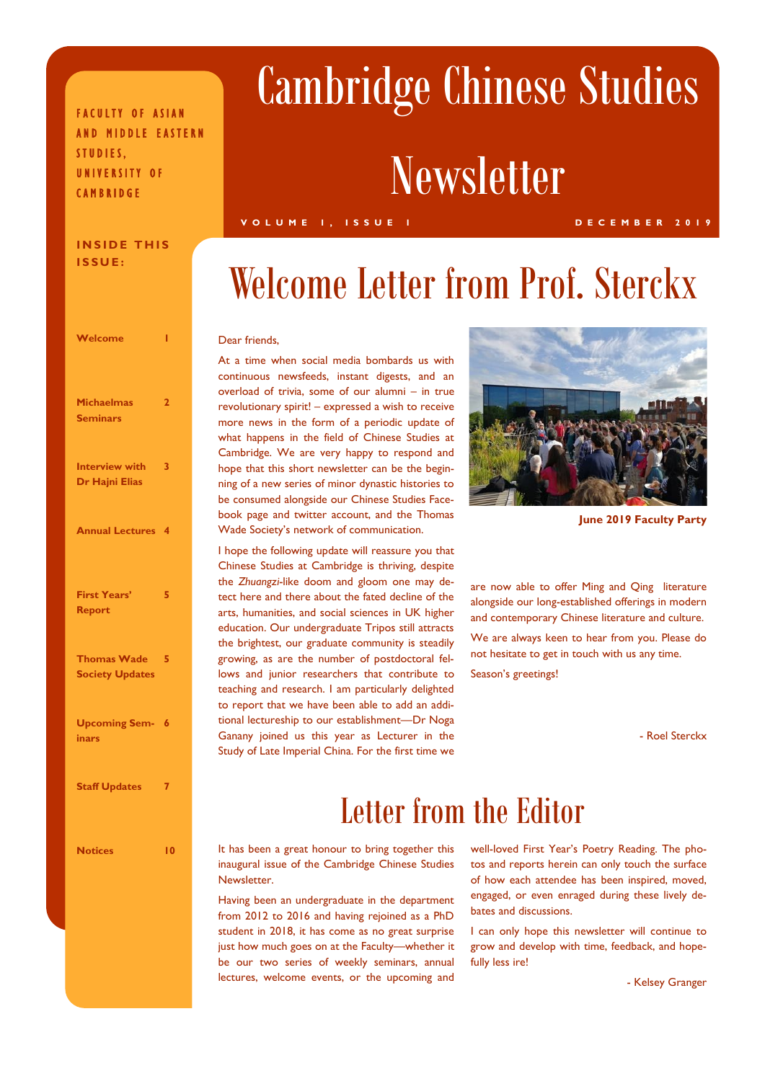### FACULTY OF ASIAN AND MIDDLE EASTERN STUDIES, UNIVERSITY OF **CAMBRIDGE**

#### **INSIDE THIS ISSUE:**

| Welcome                                      | ı              |
|----------------------------------------------|----------------|
| <b>Michaelmas</b><br><b>Seminars</b>         | $\overline{2}$ |
| <b>Interview with</b><br>Dr Hajni Elias      | 3              |
| <b>Annual Lectures</b>                       | 4              |
| <b>First Years'</b><br>Report                | 5              |
| <b>Thomas Wade</b><br><b>Society Updates</b> | 5              |
| <b>Upcoming Sem-</b><br>inars                | 6              |
| <b>Staff Updates</b>                         | 7              |
| <b>Notices</b>                               | 10             |

# Cambridge Chinese Studies

## **Newsletter**

#### **VOLUME 1, ISSUE 1 DECEMBER 2019**

### Welcome Letter from Prof. Sterckx

#### Dear friends,

At a time when social media bombards us with continuous newsfeeds, instant digests, and an overload of trivia, some of our alumni – in true revolutionary spirit! – expressed a wish to receive more news in the form of a periodic update of what happens in the field of Chinese Studies at Cambridge. We are very happy to respond and hope that this short newsletter can be the beginning of a new series of minor dynastic histories to be consumed alongside our Chinese Studies Facebook page and twitter account, and the Thomas Wade Society's network of communication.

I hope the following update will reassure you that Chinese Studies at Cambridge is thriving, despite the *Zhuangzi*-like doom and gloom one may detect here and there about the fated decline of the arts, humanities, and social sciences in UK higher education. Our undergraduate Tripos still attracts the brightest, our graduate community is steadily growing, as are the number of postdoctoral fellows and junior researchers that contribute to teaching and research. I am particularly delighted to report that we have been able to add an additional lectureship to our establishment—Dr Noga Ganany joined us this year as Lecturer in the Study of Late Imperial China. For the first time we



**June 2019 Faculty Party**

are now able to offer Ming and Qing literature alongside our long-established offerings in modern and contemporary Chinese literature and culture.

We are always keen to hear from you. Please do not hesitate to get in touch with us any time.

Season's greetings!

- Roel Sterckx

### Letter from the Editor

It has been a great honour to bring together this inaugural issue of the Cambridge Chinese Studies Newsletter.

Having been an undergraduate in the department from 2012 to 2016 and having rejoined as a PhD student in 2018, it has come as no great surprise just how much goes on at the Faculty—whether it be our two series of weekly seminars, annual lectures, welcome events, or the upcoming and

well-loved First Year's Poetry Reading. The photos and reports herein can only touch the surface of how each attendee has been inspired, moved, engaged, or even enraged during these lively debates and discussions.

I can only hope this newsletter will continue to grow and develop with time, feedback, and hopefully less ire!

- Kelsey Granger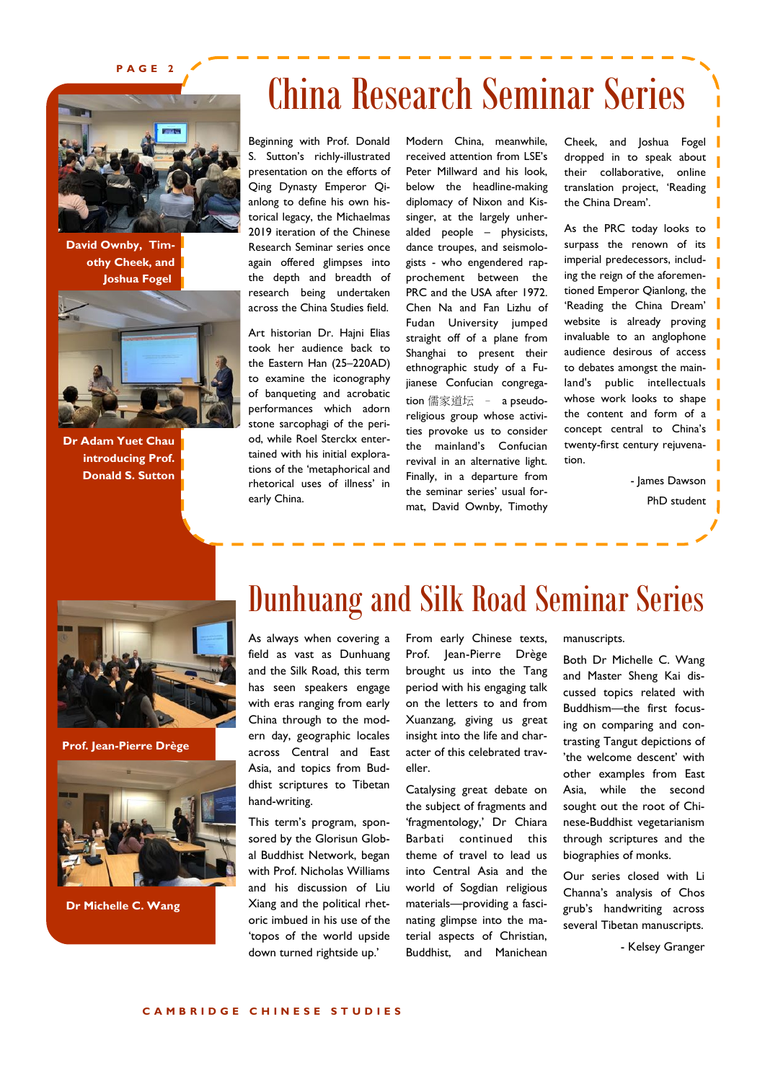**PAGE 2**



**David Ownby, Timothy Cheek, and Joshua Fogel**



**Dr Adam Yuet Chau introducing Prof. Donald S. Sutton**

## China Research Seminar Series

Beginning with Prof. Donald S. Sutton's richly-illustrated presentation on the efforts of Qing Dynasty Emperor Qianlong to define his own historical legacy, the Michaelmas 2019 iteration of the Chinese Research Seminar series once again offered glimpses into the depth and breadth of research being undertaken across the China Studies field.

Art historian Dr. Hajni Elias took her audience back to the Eastern Han (25–220AD) to examine the iconography of banqueting and acrobatic performances which adorn stone sarcophagi of the period, while Roel Sterckx entertained with his initial explorations of the 'metaphorical and rhetorical uses of illness' in early China.

Modern China, meanwhile, received attention from LSE's Peter Millward and his look, below the headline-making diplomacy of Nixon and Kissinger, at the largely unheralded people – physicists, dance troupes, and seismologists - who engendered rapprochement between the PRC and the USA after 1972. Chen Na and Fan Lizhu of Fudan University jumped straight off of a plane from Shanghai to present their ethnographic study of a Fujianese Confucian congregation 儒家道坛 – a pseudoreligious group whose activities provoke us to consider the mainland's Confucian revival in an alternative light. Finally, in a departure from the seminar series' usual format, David Ownby, Timothy

Cheek, and Joshua Fogel dropped in to speak about their collaborative, online translation project, 'Reading the China Dream'.

As the PRC today looks to surpass the renown of its imperial predecessors, including the reign of the aforementioned Emperor Qianlong, the 'Reading the China Dream' website is already proving invaluable to an anglophone audience desirous of access to debates amongst the mainland's public intellectuals | whose work looks to shape the content and form of a concept central to China's twenty-first century rejuvenation.

- James Dawson

PhD student



**Prof. Jean-Pierre Drège**



**Dr Michelle C. Wang**

### Dunhuang and Silk Road Seminar Series

As always when covering a field as vast as Dunhuang and the Silk Road, this term has seen speakers engage with eras ranging from early China through to the modern day, geographic locales across Central and East Asia, and topics from Buddhist scriptures to Tibetan hand-writing.

This term's program, sponsored by the Glorisun Global Buddhist Network, began with Prof. Nicholas Williams and his discussion of Liu Xiang and the political rhetoric imbued in his use of the 'topos of the world upside down turned rightside up.'

From early Chinese texts, Prof. Jean-Pierre Drège brought us into the Tang period with his engaging talk on the letters to and from Xuanzang, giving us great insight into the life and character of this celebrated traveller.

Catalysing great debate on the subject of fragments and 'fragmentology,' Dr Chiara Barbati continued this theme of travel to lead us into Central Asia and the world of Sogdian religious materials—providing a fascinating glimpse into the material aspects of Christian, Buddhist, and Manichean manuscripts.

Both Dr Michelle C. Wang and Master Sheng Kai discussed topics related with Buddhism—the first focusing on comparing and contrasting Tangut depictions of 'the welcome descent' with other examples from East Asia, while the second sought out the root of Chinese-Buddhist vegetarianism through scriptures and the biographies of monks.

Our series closed with Li Channa's analysis of Chos grub's handwriting across several Tibetan manuscripts.

- Kelsey Granger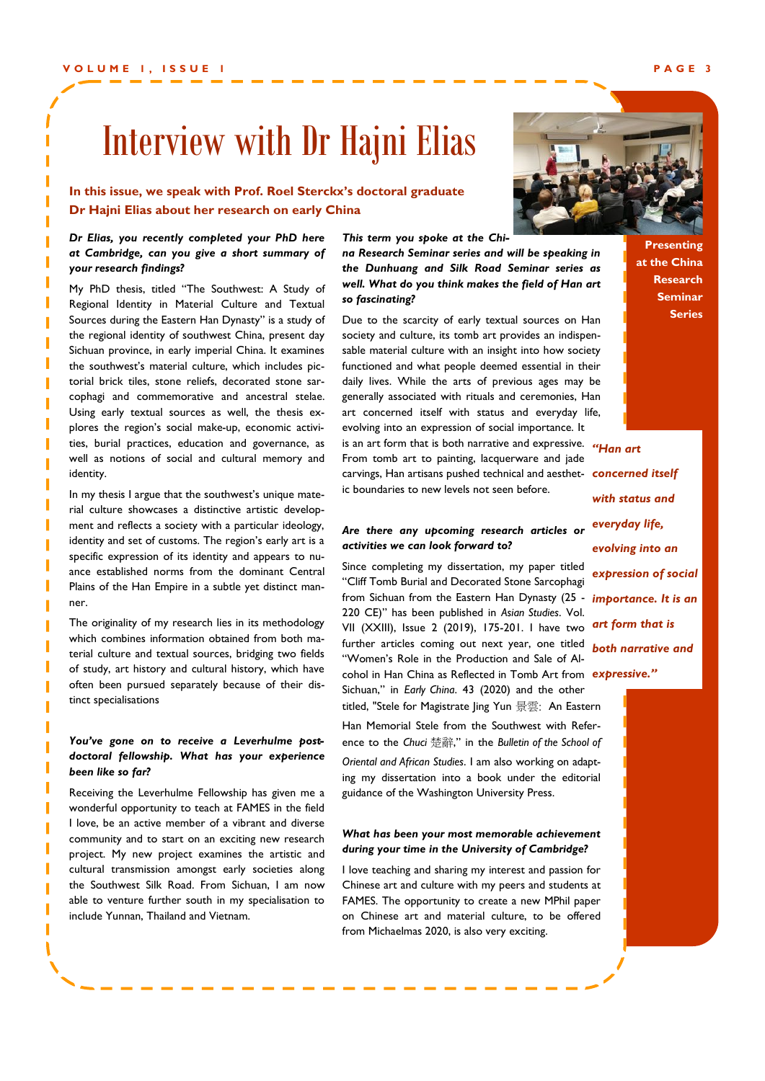### Interview with Dr Hajni Elias

### **In this issue, we speak with Prof. Roel Sterckx's doctoral graduate Dr Hajni Elias about her research on early China**

#### *Dr Elias, you recently completed your PhD here at Cambridge, can you give a short summary of your research findings?*

My PhD thesis, titled "The Southwest: A Study of Regional Identity in Material Culture and Textual Sources during the Eastern Han Dynasty" is a study of the regional identity of southwest China, present day Sichuan province, in early imperial China. It examines the southwest's material culture, which includes pictorial brick tiles, stone reliefs, decorated stone sarcophagi and commemorative and ancestral stelae. Using early textual sources as well, the thesis explores the region's social make-up, economic activities, burial practices, education and governance, as well as notions of social and cultural memory and identity.

In my thesis I argue that the southwest's unique material culture showcases a distinctive artistic development and reflects a society with a particular ideology, identity and set of customs. The region's early art is a specific expression of its identity and appears to nuance established norms from the dominant Central Plains of the Han Empire in a subtle yet distinct manner.

The originality of my research lies in its methodology which combines information obtained from both material culture and textual sources, bridging two fields of study, art history and cultural history, which have often been pursued separately because of their distinct specialisations

#### *You've gone on to receive a Leverhulme postdoctoral fellowship. What has your experience been like so far?*

Receiving the Leverhulme Fellowship has given me a wonderful opportunity to teach at FAMES in the field I love, be an active member of a vibrant and diverse community and to start on an exciting new research project. My new project examines the artistic and cultural transmission amongst early societies along the Southwest Silk Road. From Sichuan, I am now able to venture further south in my specialisation to include Yunnan, Thailand and Vietnam.

*This term you spoke at the China Research Seminar series and will be speaking in* 

*the Dunhuang and Silk Road Seminar series as well. What do you think makes the field of Han art so fascinating?*

Due to the scarcity of early textual sources on Han society and culture, its tomb art provides an indispensable material culture with an insight into how society functioned and what people deemed essential in their daily lives. While the arts of previous ages may be generally associated with rituals and ceremonies, Han art concerned itself with status and everyday life, evolving into an expression of social importance. It is an art form that is both narrative and expressive. *"Han art*  From tomb art to painting, lacquerware and jade carvings, Han artisans pushed technical and aesthet-*concerned itself*  ic boundaries to new levels not seen before.

#### *Are there any upcoming research articles or activities we can look forward to?*

Since completing my dissertation, my paper titled "Cliff Tomb Burial and Decorated Stone Sarcophagi from Sichuan from the Eastern Han Dynasty (25 - *importance. It is an*  220 CE)" has been published in *Asian Studies*. Vol. VII (XXIII), Issue 2 (2019), 175-201. I have two further articles coming out next year, one titled *both narrative and*  "Women's Role in the Production and Sale of Alcohol in Han China as Reflected in Tomb Art from *expressive."* Sichuan," in *Early China*. 43 (2020) and the other titled, "Stele for Magistrate Jing Yun 景雲: An Eastern Han Memorial Stele from the Southwest with Reference to the *Chuci* 楚辭," in the *Bulletin of the School of Oriental and African Studies*. I am also working on adapting my dissertation into a book under the editorial guidance of the Washington University Press.

#### *What has been your most memorable achievement during your time in the University of Cambridge?*

I love teaching and sharing my interest and passion for Chinese art and culture with my peers and students at FAMES. The opportunity to create a new MPhil paper on Chinese art and material culture, to be offered from Michaelmas 2020, is also very exciting.

**Presenting at the China Research Seminar Series**

*with status and everyday life, evolving into an expression of social art form that is* 

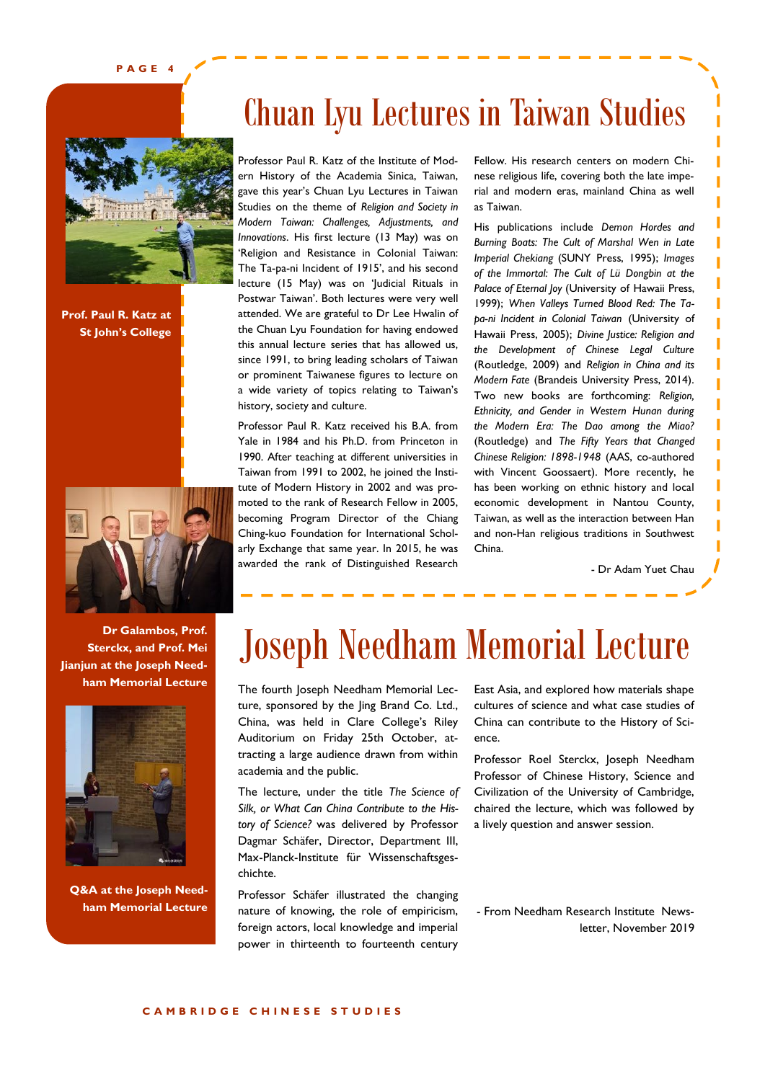**PAGE 4**



**Prof. Paul R. Katz at St John's College**



**Dr Galambos, Prof. Sterckx, and Prof. Mei Jianjun at the Joseph Needham Memorial Lecture** 



**Q&A at the Joseph Needham Memorial Lecture**

### Chuan Lyu Lectures in Taiwan Studies

Professor Paul R. Katz of the Institute of Modern History of the Academia Sinica, Taiwan, gave this year's Chuan Lyu Lectures in Taiwan Studies on the theme of *Religion and Society in Modern Taiwan: Challenges, Adjustments, and Innovations*. His first lecture (13 May) was on 'Religion and Resistance in Colonial Taiwan: The Ta-pa-ni Incident of 1915', and his second lecture (15 May) was on 'Judicial Rituals in Postwar Taiwan'. Both lectures were very well attended. We are grateful to Dr Lee Hwalin of the Chuan Lyu Foundation for having endowed this annual lecture series that has allowed us, since 1991, to bring leading scholars of Taiwan or prominent Taiwanese figures to lecture on a wide variety of topics relating to Taiwan's history, society and culture.

Professor Paul R. Katz received his B.A. from Yale in 1984 and his Ph.D. from Princeton in 1990. After teaching at different universities in Taiwan from 1991 to 2002, he joined the Institute of Modern History in 2002 and was promoted to the rank of Research Fellow in 2005, becoming Program Director of the Chiang Ching-kuo Foundation for International Scholarly Exchange that same year. In 2015, he was awarded the rank of Distinguished Research

Fellow. His research centers on modern Chinese religious life, covering both the late imperial and modern eras, mainland China as well as Taiwan.

ı ī I Ï ı П ī I П I П П П ī П П

His publications include *Demon Hordes and Burning Boats: The Cult of Marshal Wen in Late Imperial Chekiang* (SUNY Press, 1995); *Images of the Immortal: The Cult of Lü Dongbin at the Palace of Eternal Joy* (University of Hawaii Press, 1999); *When Valleys Turned Blood Red: The Tapa-ni Incident in Colonial Taiwan* (University of Hawaii Press, 2005); *Divine Justice: Religion and the Development of Chinese Legal Culture*  (Routledge, 2009) and *Religion in China and its Modern Fate* (Brandeis University Press, 2014). Two new books are forthcoming: *Religion, Ethnicity, and Gender in Western Hunan during the Modern Era: The Dao among the Miao?*  (Routledge) and *The Fifty Years that Changed Chinese Religion: 1898-1948* (AAS, co-authored with Vincent Goossaert). More recently, he has been working on ethnic history and local economic development in Nantou County, Taiwan, as well as the interaction between Han and non-Han religious traditions in Southwest China.

- Dr Adam Yuet Chau

### Joseph Needham Memorial Lecture

The fourth Joseph Needham Memorial Lecture, sponsored by the Jing Brand Co. Ltd., China, was held in Clare College's Riley Auditorium on Friday 25th October, attracting a large audience drawn from within academia and the public.

The lecture, under the title *The Science of Silk, or What Can China Contribute to the History of Science?* was delivered by Professor Dagmar Schäfer, Director, Department III, Max-Planck-Institute für Wissenschaftsgeschichte.

Professor Schäfer illustrated the changing nature of knowing, the role of empiricism, foreign actors, local knowledge and imperial power in thirteenth to fourteenth century

East Asia, and explored how materials shape cultures of science and what case studies of China can contribute to the History of Science.

Professor Roel Sterckx, Joseph Needham Professor of Chinese History, Science and Civilization of the University of Cambridge, chaired the lecture, which was followed by a lively question and answer session.

- From Needham Research Institute Newsletter, November 2019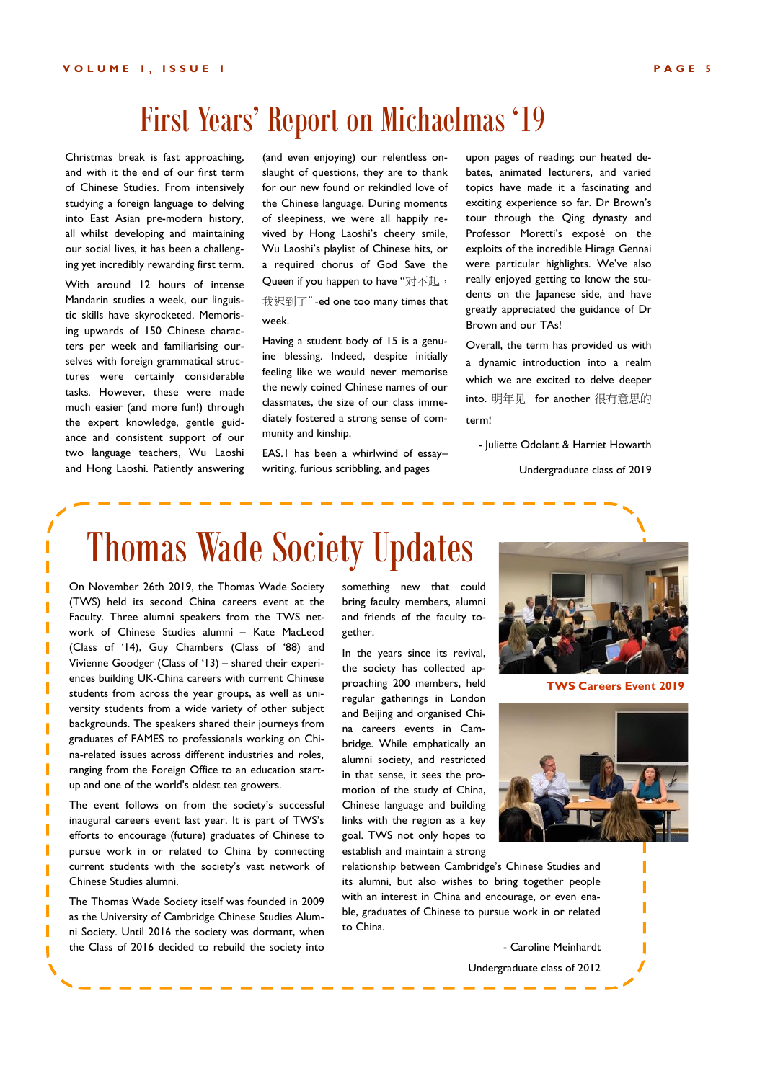### First Years' Report on Michaelmas '19

Christmas break is fast approaching, and with it the end of our first term of Chinese Studies. From intensively studying a foreign language to delving into East Asian pre-modern history, all whilst developing and maintaining our social lives, it has been a challenging yet incredibly rewarding first term.

With around 12 hours of intense Mandarin studies a week, our linguistic skills have skyrocketed. Memorising upwards of 150 Chinese characters per week and familiarising ourselves with foreign grammatical structures were certainly considerable tasks. However, these were made much easier (and more fun!) through the expert knowledge, gentle guidance and consistent support of our two language teachers, Wu Laoshi and Hong Laoshi. Patiently answering

(and even enjoying) our relentless onslaught of questions, they are to thank for our new found or rekindled love of the Chinese language. During moments of sleepiness, we were all happily revived by Hong Laoshi's cheery smile, Wu Laoshi's playlist of Chinese hits, or a required chorus of God Save the Queen if you happen to have "对不起,

我迟到了"-ed one too many times that week.

Having a student body of 15 is a genuine blessing. Indeed, despite initially feeling like we would never memorise the newly coined Chinese names of our classmates, the size of our class immediately fostered a strong sense of community and kinship.

EAS.1 has been a whirlwind of essay– writing, furious scribbling, and pages

upon pages of reading; our heated debates, animated lecturers, and varied topics have made it a fascinating and exciting experience so far. Dr Brown's tour through the Qing dynasty and Professor Moretti's exposé on the exploits of the incredible Hiraga Gennai were particular highlights. We've also really enjoyed getting to know the students on the Japanese side, and have greatly appreciated the guidance of Dr Brown and our TAs!

Overall, the term has provided us with a dynamic introduction into a realm which we are excited to delve deeper into. 明年见 for another 很有意思的 term!

- Juliette Odolant & Harriet Howarth

Undergraduate class of 2019

### Thomas Wade Society Updates

On November 26th 2019, the Thomas Wade Society (TWS) held its second China careers event at the Faculty. Three alumni speakers from the TWS network of Chinese Studies alumni – Kate MacLeod (Class of '14), Guy Chambers (Class of '88) and Vivienne Goodger (Class of '13) – shared their experiences building UK-China careers with current Chinese students from across the year groups, as well as university students from a wide variety of other subject backgrounds. The speakers shared their journeys from graduates of FAMES to professionals working on China-related issues across different industries and roles, ranging from the Foreign Office to an education startup and one of the world's oldest tea growers.

The event follows on from the society's successful inaugural careers event last year. It is part of TWS's efforts to encourage (future) graduates of Chinese to pursue work in or related to China by connecting current students with the society's vast network of Chinese Studies alumni.

The Thomas Wade Society itself was founded in 2009 as the University of Cambridge Chinese Studies Alumni Society. Until 2016 the society was dormant, when the Class of 2016 decided to rebuild the society into

something new that could bring faculty members, alumni and friends of the faculty together.

In the years since its revival, the society has collected approaching 200 members, held regular gatherings in London and Beijing and organised China careers events in Cambridge. While emphatically an alumni society, and restricted in that sense, it sees the promotion of the study of China, Chinese language and building links with the region as a key goal. TWS not only hopes to establish and maintain a strong

relationship between Cambridge's Chinese Studies and its alumni, but also wishes to bring together people with an interest in China and encourage, or even enable, graduates of Chinese to pursue work in or related to China.

> - Caroline Meinhardt Undergraduate class of 2012



**TWS Careers Event 2019**

ľ

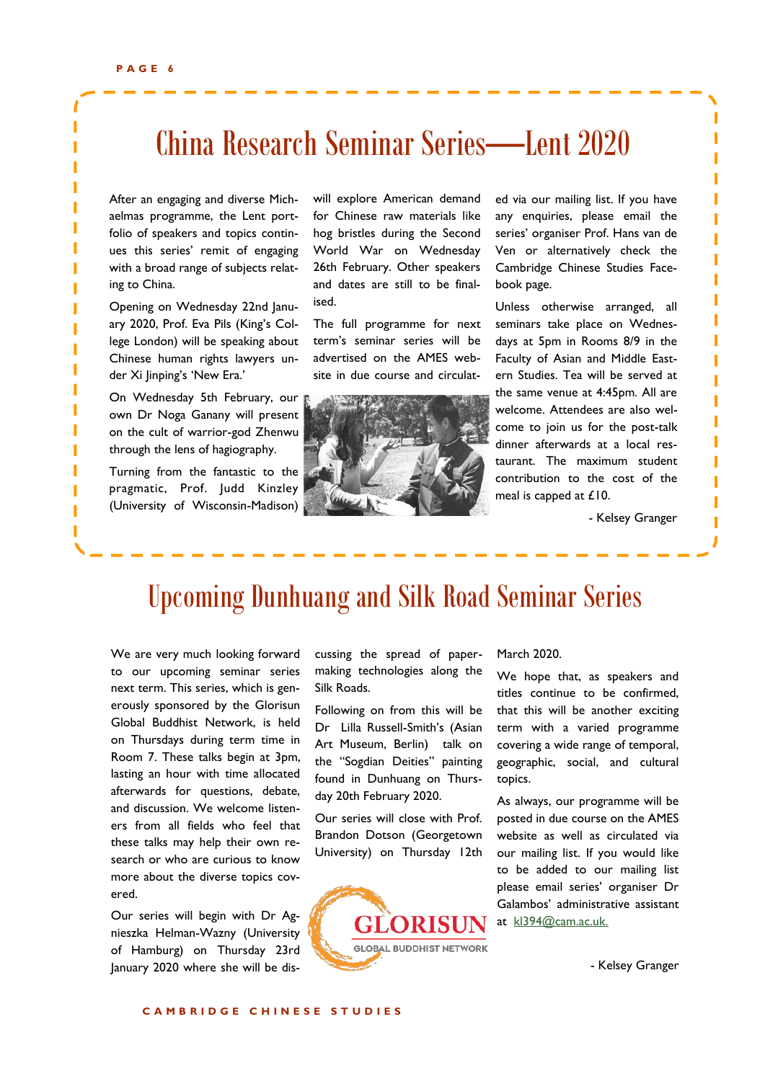I

I

I Г

### China Research Seminar Series—Lent 2020

After an engaging and diverse Michaelmas programme, the Lent portfolio of speakers and topics continues this series' remit of engaging with a broad range of subjects relating to China.

Opening on Wednesday 22nd January 2020, Prof. Eva Pils (King's College London) will be speaking about Chinese human rights lawyers under Xi Jinping's 'New Era.'

On Wednesday 5th February, our own Dr Noga Ganany will present on the cult of warrior-god Zhenwu through the lens of hagiography.

Turning from the fantastic to the pragmatic, Prof. Judd Kinzley (University of Wisconsin-Madison)

will explore American demand for Chinese raw materials like hog bristles during the Second World War on Wednesday 26th February. Other speakers and dates are still to be finalised.

The full programme for next term's seminar series will be advertised on the AMES website in due course and circulat-



ed via our mailing list. If you have any enquiries, please email the series' organiser Prof. Hans van de Ven or alternatively check the Cambridge Chinese Studies Facebook page.

Unless otherwise arranged, all seminars take place on Wednesdays at 5pm in Rooms 8/9 in the Faculty of Asian and Middle Eastern Studies. Tea will be served at the same venue at 4:45pm. All are welcome. Attendees are also welcome to join us for the post-talk dinner afterwards at a local restaurant. The maximum student contribution to the cost of the meal is capped at £10.

- Kelsey Granger

### Upcoming Dunhuang and Silk Road Seminar Series

We are very much looking forward to our upcoming seminar series next term. This series, which is generously sponsored by the Glorisun Global Buddhist Network, is held on Thursdays during term time in Room 7. These talks begin at 3pm, lasting an hour with time allocated afterwards for questions, debate, and discussion. We welcome listeners from all fields who feel that these talks may help their own research or who are curious to know more about the diverse topics covered.

Our series will begin with Dr Agnieszka Helman-Wazny (University of Hamburg) on Thursday 23rd January 2020 where she will be discussing the spread of papermaking technologies along the Silk Roads.

Following on from this will be Dr Lilla Russell-Smith's (Asian Art Museum, Berlin) talk on the "Sogdian Deities" painting found in Dunhuang on Thursday 20th February 2020.

Our series will close with Prof. Brandon Dotson (Georgetown University) on Thursday 12th



#### March 2020.

We hope that, as speakers and titles continue to be confirmed, that this will be another exciting term with a varied programme covering a wide range of temporal, geographic, social, and cultural topics.

As always, our programme will be posted in due course on the AMES website as well as circulated via our mailing list. If you would like to be added to our mailing list please email series' organiser Dr Galambos' administrative assistant at kl394@cam.ac.uk.

- Kelsey Granger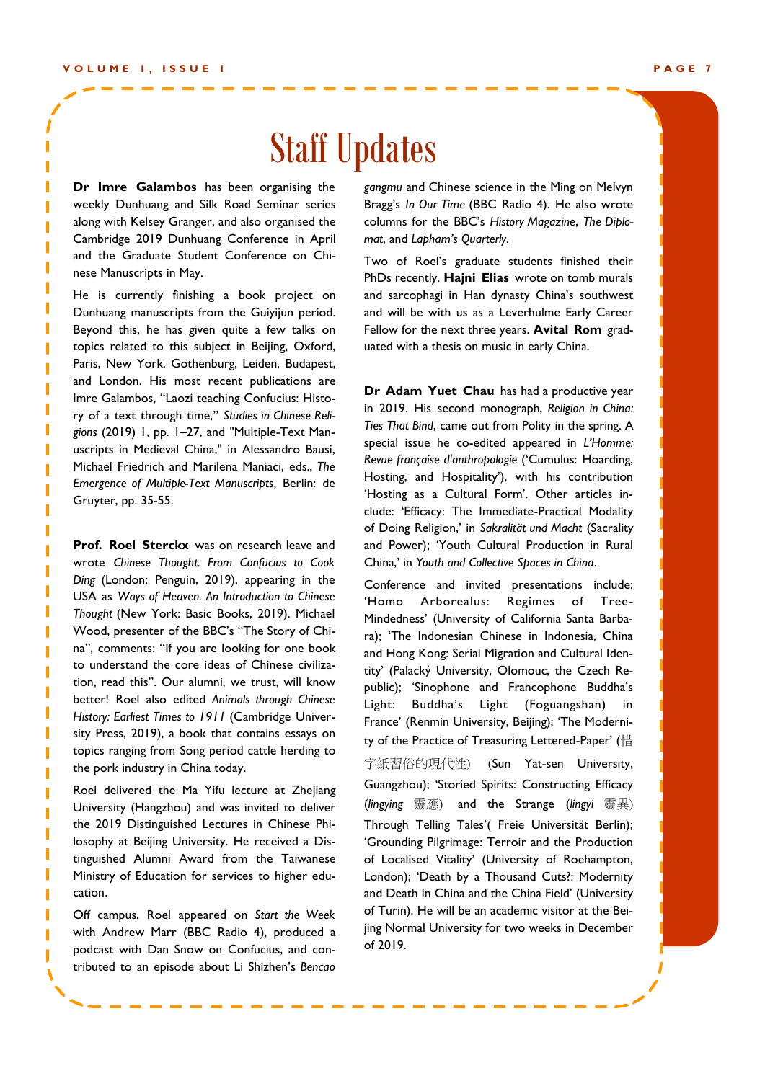I I

### Staff Updates

**Dr Imre Galambos** has been organising the weekly Dunhuang and Silk Road Seminar series along with Kelsey Granger, and also organised the Cambridge 2019 Dunhuang Conference in April and the Graduate Student Conference on Chinese Manuscripts in May.

He is currently finishing a book project on Dunhuang manuscripts from the Guiyijun period. Beyond this, he has given quite a few talks on topics related to this subject in Beijing, Oxford, Paris, New York, Gothenburg, Leiden, Budapest, and London. His most recent publications are Imre Galambos, "Laozi teaching Confucius: History of a text through time," *Studies in Chinese Religions* (2019) 1, pp. 1–27, and "Multiple-Text Manuscripts in Medieval China," in Alessandro Bausi, Michael Friedrich and Marilena Maniaci, eds., *The Emergence of Multiple-Text Manuscripts*, Berlin: de Gruyter, pp. 35-55.

**Prof. Roel Sterckx** was on research leave and and Pow moto can idea include the can include that include the conference and include that *Ding* (London: Penguin, 2019), appearing in the conference and in USA as *Ways of Heaven. An Introduction to Chinese* na", comments: "If you are looking for one book sity Press, 2019), a book that contains essays on topics ranging from Song period cattle herding to  $\overrightarrow{f}$ wrote *Chinese Thought. From Confucius to Cook Thought* (New York: Basic Books, 2019). Michael Wood, presenter of the BBC's "The Story of Chito understand the core ideas of Chinese civilization, read this". Our alumni, we trust, will know better! Roel also edited *Animals through Chinese History: Earliest Times to 1911* (Cambridge Univerthe pork industry in China today.

employees or top control to current or the customers of the 2019 Distinguished Lectures in Chinese Phi- Through Tellir Roel delivered the Ma Yifu lecture at Zhejiang University (Hangzhou) and was invited to deliver losophy at Beijing University. He received a Distinguished Alumni Award from the Taiwanese Ministry of Education for services to higher education.

Off campus, Roel appeared on *Start the Week*  with Andrew Marr (BBC Radio 4), produced a podcast with Dan Snow on Confucius, and contributed to an episode about Li Shizhen's *Bencao*  *gangmu* and Chinese science in the Ming on Melvyn Bragg's *In Our Time* (BBC Radio 4). He also wrote columns for the BBC's *History Magazine*, *The Diplomat*, and *Lapham's Quarterly*.

Two of Roel's graduate students finished their PhDs recently. **Hajni Elias** wrote on tomb murals and sarcophagi in Han dynasty China's southwest and will be with us as a Leverhulme Early Career Fellow for the next three years. **Avital Rom** graduated with a thesis on music in early China.

Infucius to Cook China,' in Youth and Collective Spaces in China. **Dr Adam Yuet Chau** has had a productive year in 2019. His second monograph, *Religion in China: Ties That Bind*, came out from Polity in the spring. A special issue he co-edited appeared in *L'Homme: Revue française d'anthropologie* ('Cumulus: Hoarding, Hosting, and Hospitality'), with his contribution 'Hosting as a Cultural Form'. Other articles include: 'Efficacy: The Immediate-Practical Modality of Doing Religion,' in *Sakralität und Macht* (Sacrality and Power); 'Youth Cultural Production in Rural

ppearing in the conference and invited presentations include: , 2017). Mindedness' (University of California Santa Barbane story or Chi-<br>
ra); 'The Indonesian Chinese in Indonesia, China Chinese Civiliza- tity' (Palacký University, Olomouc, the Czech Retrust, will know public); 'Sinophone and Francophone Buddha's Light: Buddha's earnings will show how your business is grow-France' (Renmin University, Beijing); 'The Moderni-字紙習俗的現代性) ure at Zhoijang Guangzhou); 'Storied Spirits: Constructing Efficacy vited to deliver (lingying 靈應) and the Strange (lingyi 靈異) 'Homo Arborealus: Regimes of Treeand Hong Kong: Serial Migration and Cultural Iden-Light (Foguangshan) in ty of the Practice of Treasuring Lettered-Paper' (惜 (Sun Yat-sen University, Through Telling Tales'( Freie Universität Berlin); 'Grounding Pilgrimage: Terroir and the Production of Localised Vitality' (University of Roehampton, London); 'Death by a Thousand Cuts?: Modernity and Death in China and the China Field' (University of Turin). He will be an academic visitor at the Beijing Normal University for two weeks in December of 2019.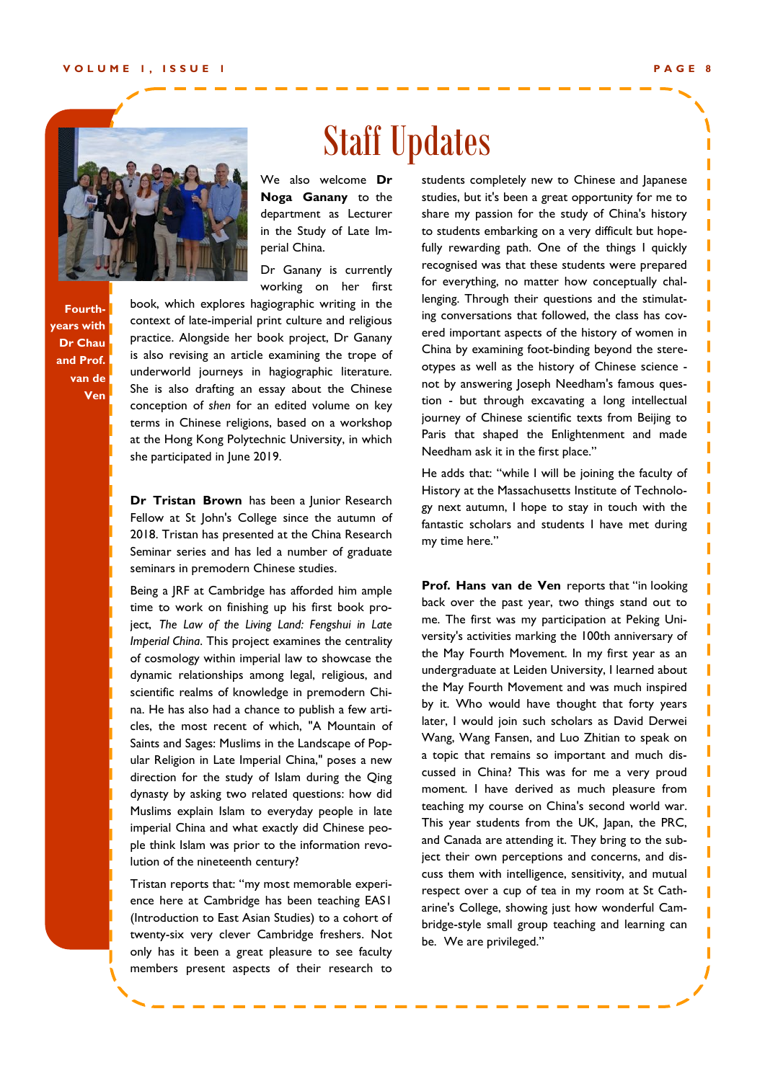I

ı

Ï Ï

Ī

ı

ī

ī Π ı п П Ï Π ı П T Ï ī T ı ī ī



Staff Updates

We also welcome **Dr Noga Ganany** to the department as Lecturer in the Study of Late Imperial China.

Dr Ganany is currently working on her first

book, which explores hagiographic writing in the context of late-imperial print culture and religious practice. Alongside her book project, Dr Ganany is also revising an article examining the trope of underworld journeys in hagiographic literature. She is also drafting an essay about the Chinese conception of *shen* for an edited volume on key terms in Chinese religions, based on a workshop at the Hong Kong Polytechnic University, in which she participated in June 2019.

2018. Tristan has presented at the China Research Seminar series and has led a number of graduate seminars in premodern Chinese studies. **Dr Tristan Brown** has been a lunior Research Fellow at St John's College since the autumn of

Being a JRF at Cambridge has afforded him ample **Prof. F** time to work on finishing up his first book project, The Law of the Living Land: Fengshui in Late <sup>me. It</sup> *Imperial China*. This project examines the centrality versity of cosmology within imperial law to showcase the dynamic relationships among legal, religious, and http <sup>undergr</sup> scientific realms of knowledge in premodern Chi-hte May na. He has also had a chance to publish a few articles, the most recent of which, "A Mountain of later, I v ing. Saints and Sages: Muslims in the Landscape of Popular Religion in Late Imperial China," poses a new a top direction for the study of Islam during the Qing  $\frac{2}{\sqrt{1-\frac{1}{n}}}$ column, a book review, a book review, a letter from the present from the present  $\mathbb{R}^n$ dynasty by asking two related questions: how did moment. Muslims explain Islam to everyday people in late tead imperial China and what exactly did Chinese people think Islam was prior to the information revolution of the nineteenth century?

Tristan reports that: "my most memorable experience here at Cambridge has been teaching EAS1 (Introduction to East Asian Studies) to a cohort of twenty-six very clever Cambridge freshers. Not only has it been a great pleasure to see faculty members present aspects of their research to

students completely new to Chinese and Japanese studies, but it's been a great opportunity for me to share my passion for the study of China's history to students embarking on a very difficult but hopefully rewarding path. One of the things I quickly recognised was that these students were prepared for everything, no matter how conceptually challenging. Through their questions and the stimulating conversations that followed, the class has covered important aspects of the history of women in China by examining foot-binding beyond the stereotypes as well as the history of Chinese science not by answering Joseph Needham's famous question - but through excavating a long intellectual journey of Chinese scientific texts from Beijing to Paris that shaped the Enlightenment and made Needham ask it in the first place."

He adds that: "while I will be joining the faculty of History at the Massachusetts Institute of Technology next autumn, I hope to stay in touch with the fantastic scholars and students I have met during my time here."

**Prof. Hans van de Ven** reports that "in looking back over the past year, two things stand out to me. The first was my participation at Peking University's activities marking the 100th anniversary of the May Fourth Movement. In my first year as an undergraduate at Leiden University, I learned about the May Fourth Movement and was much inspired by it. Who would have thought that forty years later, I would join such scholars as David Derwei Wang, Wang Fansen, and Luo Zhitian to speak on a topic that remains so important and much discussed in China? This was for me a very proud moment. I have derived as much pleasure from teaching my course on China's second world war. This year students from the UK, Japan, the PRC, and Canada are attending it. They bring to the subject their own perceptions and concerns, and discuss them with intelligence, sensitivity, and mutual respect over a cup of tea in my room at St Catharine's College, showing just how wonderful Cambridge-style small group teaching and learning can be. We are privileged."

**Fourthyears with Dr Chau and Prof. van de Ven**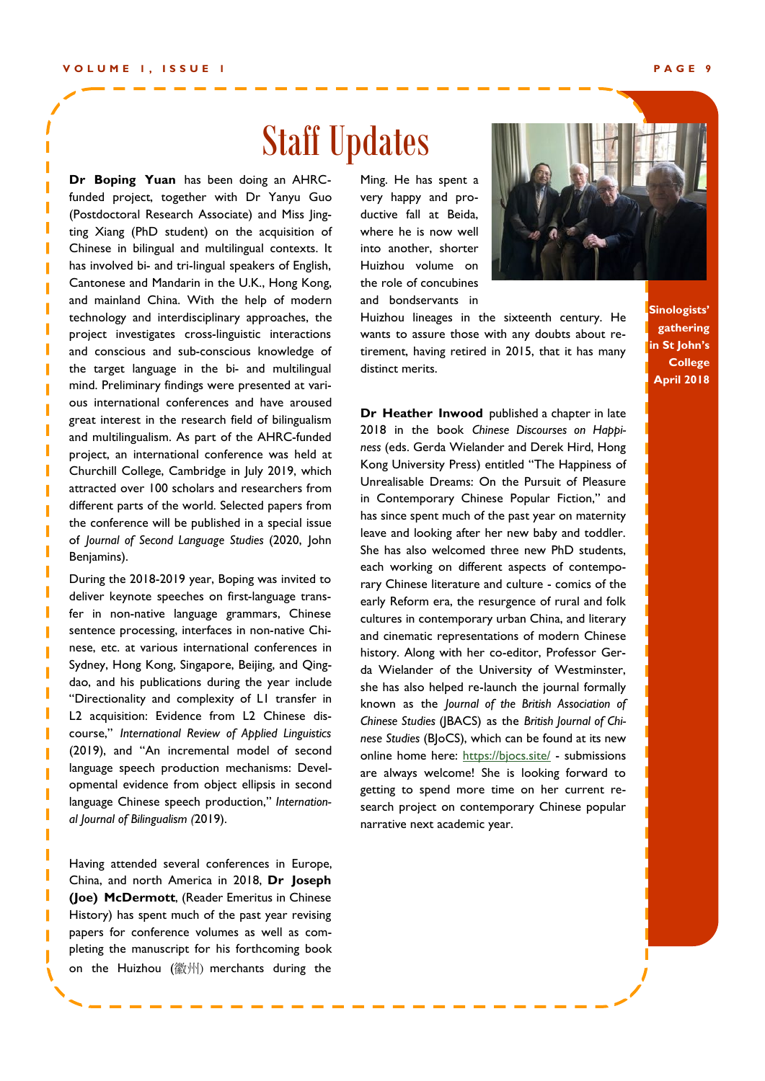### Staff Updates

of *Journal of Second Language Studies* (2020, John leave and **Dr Boping Yuan** has been doing an AHRCfunded project, together with Dr Yanyu Guo (Postdoctoral Research Associate) and Miss Jingting Xiang (PhD student) on the acquisition of Chinese in bilingual and multilingual contexts. It has involved bi- and tri-lingual speakers of English, Cantonese and Mandarin in the U.K., Hong Kong, and mainland China. With the help of modern technology and interdisciplinary approaches, the project investigates cross-linguistic interactions and conscious and sub-conscious knowledge of the target language in the bi- and multilingual mind. Preliminary findings were presented at various international conferences and have aroused great interest in the research field of bilingualism and multilingualism. As part of the AHRC-funded project, an international conference was held at Churchill College, Cambridge in July 2019, which attracted over 100 scholars and researchers from different parts of the world. Selected papers from the conference will be published in a special issue Benjamins).

deliver keynote speeches on first-language transnese, etc. at various international conferences in course," International Review of Applied Linguistics language Chinese speech production," *Internation-*<br>
search project on co During the 2018-2019 year, Boping was invited to fer in non-native language grammars, Chinese sentence processing, interfaces in non-native Chi-Sydney, Hong Kong, Singapore, Beijing, and Qingdao, and his publications during the year include "Directionality and complexity of L1 transfer in L2 acquisition: Evidence from L2 Chinese dis-(2019), and "An incremental model of second language speech production mechanisms: Developmental evidence from object ellipsis in second *al Journal of Bilingualism (*2019).

Having attended several conferences in Europe, China, and north America in 2018, **Dr Joseph (Joe) McDermott**, (Reader Emeritus in Chinese History) has spent much of the past year revising papers for conference volumes as well as completing the manuscript for his forthcoming book on the Huizhou (徽州) merchants during the

Ming. He has spent a very happy and productive fall at Beida, where he is now well into another, shorter Huizhou volume on the role of concubines and bondservants in



Huizhou lineages in the sixteenth century. He wants to assure those with any doubts about retirement, having retired in 2015, that it has many distinct merits.

**Sinologists' gathering in St John's College April 2018**

 $S$ he has also welcomed three new PhD students, each working on different aspects of contempog was invited to rary Chinese literature and culture - comics of the mars, Chinese cultures in contemporary urban China, and literary non-native Chi- and cinematic representations of modern Chinese Ijing, and Qing-<br>da Wielander of the University of Westminster, ne year include she has also helped re-launch the journal formally LI transfer in **Known** as the *Journal of the British Association of* 2 Chinese dis-<br>*Chinese Chinese Studies* (JBACS) as the *British Journal of Chi*online home here: https://bjocs.site/ - submissions lanisms: Devel- are always welcome! She is looking forward to lipsis in second erecting to spend more time on her current reemployees or top customers or the property of the property of the property of the property of the property of the property of the property of the property of the property of the property of the property of the property of **Dr Heather Inwood** published a chapter in late 2018 in the book *Chinese Discourses on Happiness* (eds. Gerda Wielander and Derek Hird, Hong Kong University Press) entitled "The Happiness of Unrealisable Dreams: On the Pursuit of Pleasure in Contemporary Chinese Popular Fiction," and has since spent much of the past year on maternity leave and looking after her new baby and toddler. early Reform era, the resurgence of rural and folk history. Along with her co-editor, Professor Ger*nese Studies* (BJoCS), which can be found at its new search project on contemporary Chinese popular